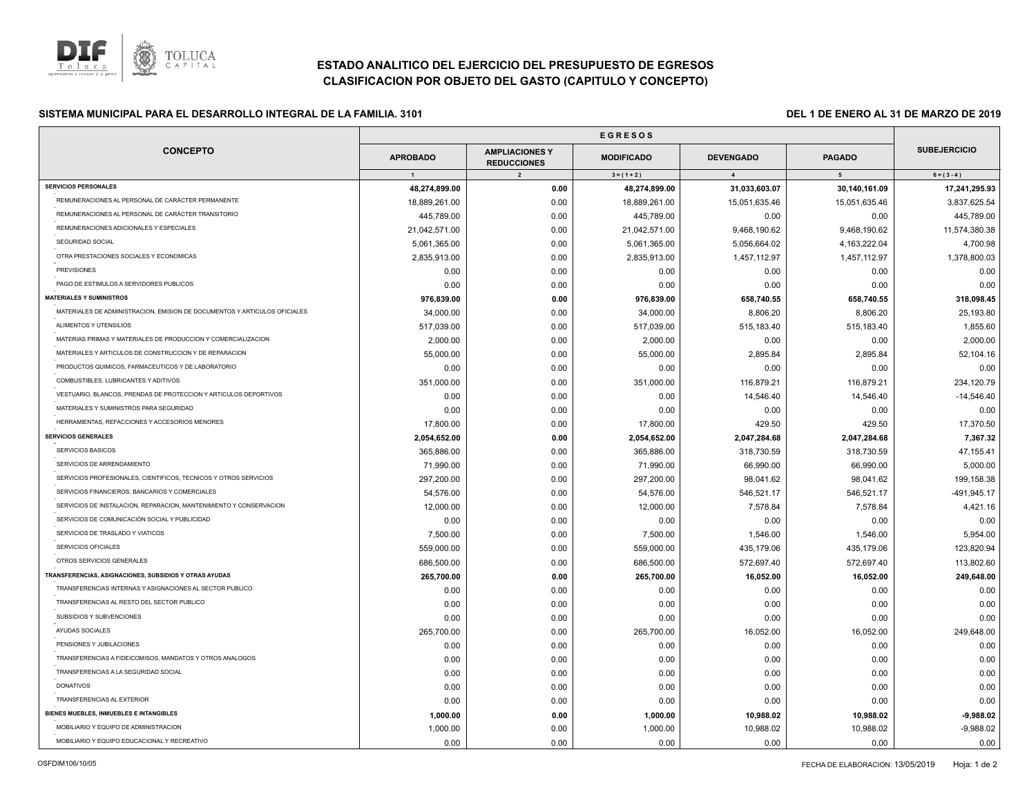

# **ESTADO ANALITICO DEL EJERCICIO DEL PRESUPUESTO DE EGRESOS CLASIFICACION POR OBJETO DEL GASTO (CAPITULO Y CONCEPTO)**

## **E SISTEMA MUNICIPAL PARA EL DESARROLLO INTEGRAL DE LA FAMILIA. 3101 DEL 1 DE ENERO AL 31 DE MARZO DE 2019**

| <b>CONCEPTO</b>                                                           | <b>APROBADO</b> | <b>AMPLIACIONES Y</b><br><b>REDUCCIONES</b> | <b>MODIFICADO</b> | <b>DEVENGADO</b> | <b>PAGADO</b>  | <b>SUBEJERCICIO</b> |
|---------------------------------------------------------------------------|-----------------|---------------------------------------------|-------------------|------------------|----------------|---------------------|
|                                                                           |                 | $\overline{2}$                              | $3 = (1 + 2)$     | $\overline{4}$   | 5 <sub>5</sub> | $6 = (3 - 4)$       |
| <b>SERVICIOS PERSONALES</b>                                               | 48,274,899.00   | 0.00                                        | 48,274,899.00     | 31,033,603.07    | 30,140,161.09  | 17,241,295.93       |
| REMUNERACIONES AL PERSONAL DE CARÁCTER PERMANENTE                         | 18,889,261.00   | 0.00                                        | 18,889,261.00     | 15,051,635.46    | 15,051,635.46  | 3,837,625.54        |
| REMUNERACIONES AL PERSONAL DE CARÁCTER TRANSITORIO                        | 445,789.00      | 0.00                                        | 445,789.00        | 0.00             | 0.00           | 445,789.00          |
| REMUNERACIONES ADICIONALES Y ESPECIALES                                   | 21,042,571.00   | 0.00                                        | 21,042,571.00     | 9,468,190.62     | 9,468,190.62   | 11,574,380.38       |
| SEGURIDAD SOCIAL                                                          | 5,061,365.00    | 0.00                                        | 5,061,365.00      | 5,056,664.02     | 4, 163, 222.04 | 4,700.98            |
| OTRA PRESTACIONES SOCIALES Y ECONOMICAS                                   | 2,835,913.00    | 0.00                                        | 2,835,913.00      | 1,457,112.97     | 1,457,112.97   | 1,378,800.03        |
| <b>PREVISIONES</b>                                                        | 0.00            | 0.00                                        | 0.00              | 0.00             | 0.00           | 0.00                |
| PAGO DE ESTIMULOS A SERVIDORES PUBLICOS                                   | 0.00            | 0.00                                        | 0.00              | 0.00             | 0.00           | 0.00                |
| <b>MATERIALES Y SUMINISTROS</b>                                           | 976,839.00      | 0.00                                        | 976,839.00        | 658,740.55       | 658,740.55     | 318,098.45          |
| MATERIALES DE ADMINISTRACION, EMISION DE DOCUMENTOS Y ARTICULOS OFICIALES | 34,000.00       | 0.00                                        | 34,000.00         | 8,806.20         | 8,806.20       | 25,193.80           |
| ALIMENTOS Y UTENSILIOS                                                    | 517,039.00      | 0.00                                        | 517,039.00        | 515,183.40       | 515,183.40     | 1,855.60            |
| MATERIAS PRIMAS Y MATERIALES DE PRODUCCION Y COMERCIALIZACION             | 2,000.00        | 0.00                                        | 2,000.00          | 0.00             | 0.00           | 2,000.00            |
| MATERIALES Y ARTICULOS DE CONSTRUCCION Y DE REPARACION                    | 55,000.00       | 0.00                                        | 55,000.00         | 2,895.84         | 2,895.84       | 52,104.16           |
| PRODUCTOS QUIMICOS, FARMACEUTICOS Y DE LABORATORIO                        | 0.00            | 0.00                                        | 0.00              | 0.00             | 0.00           | 0.00                |
| COMBUSTIBLES, LUBRICANTES Y ADITIVOS                                      | 351,000.00      | 0.00                                        | 351,000.00        | 116,879.21       | 116,879.21     | 234,120.79          |
| VESTUARIO, BLANCOS, PRENDAS DE PROTECCION Y ARTICULOS DEPORTIVOS          | 0.00            | 0.00                                        | 0.00              | 14,546.40        | 14,546.40      | $-14,546.40$        |
| MATERIALES Y SUMINISTROS PARA SEGURIDAD                                   | 0.00            | 0.00                                        | 0.00              | 0.00             | 0.00           | 0.00                |
| HERRAMIENTAS, REFACCIONES Y ACCESORIOS MENORES                            | 17,800.00       | 0.00                                        | 17,800.00         | 429.50           | 429.50         | 17,370.50           |
| <b>SERVICIOS GENERALES</b>                                                | 2,054,652.00    | 0.00                                        | 2,054,652.00      | 2,047,284.68     | 2,047,284.68   | 7,367.32            |
| SERVICIOS BASICOS                                                         | 365,886.00      | 0.00                                        | 365,886.00        | 318,730.59       | 318,730.59     | 47,155.41           |
| SERVICIOS DE ARRENDAMIENTO                                                | 71,990.00       | 0.00                                        | 71,990.00         | 66,990.00        | 66,990.00      | 5,000.00            |
| SERVICIOS PROFESIONALES, CIENTIFICOS, TECNICOS Y OTROS SERVICIOS          | 297,200.00      | 0.00                                        | 297,200.00        | 98,041.62        | 98,041.62      | 199,158.38          |
| SERVICIOS FINANCIEROS, BANCARIOS Y COMERCIALES                            | 54,576.00       | 0.00                                        | 54,576.00         | 546,521.17       | 546,521.17     | -491,945.17         |
| SERVICIOS DE INSTALACION, REPARACION, MANTENIMIENTO Y CONSERVACION        | 12,000.00       | 0.00                                        | 12,000.00         | 7,578.84         | 7,578.84       | 4,421.16            |
| SERVICIOS DE COMUNICACIÓN SOCIAL Y PUBLICIDAD                             | 0.00            | 0.00                                        | 0.00              | 0.00             | 0.00           | 0.00                |
| SERVICIOS DE TRASLADO Y VIATICOS                                          | 7,500.00        | 0.00                                        | 7,500.00          | 1,546.00         | 1,546.00       | 5,954.00            |
| SERVICIOS OFICIALES                                                       | 559,000.00      | 0.00                                        | 559,000.00        | 435,179.06       | 435,179.06     | 123,820.94          |
| OTROS SERVICIOS GENERALES                                                 | 686,500.00      | 0.00                                        | 686,500.00        | 572,697.40       | 572,697.40     | 113,802.60          |
| TRANSFERENCIAS, ASIGNACIONES, SUBSIDIOS Y OTRAS AYUDAS                    | 265,700.00      | 0.00                                        | 265,700.00        | 16,052.00        | 16,052.00      | 249,648.00          |
| TRANSFERENCIAS INTERNAS Y ASIGNACIONES AL SECTOR PUBLICO                  | 0.00            | 0.00                                        | 0.00              | 0.00             | 0.00           | 0.00                |
| TRANSFERENCIAS AL RESTO DEL SECTOR PUBLICO                                | 0.00            | 0.00                                        | 0.00              | 0.00             | 0.00           | 0.00                |
| SUBSIDIOS Y SUBVENCIONES                                                  | 0.00            | 0.00                                        | 0.00              | 0.00             | 0.00           | 0.00                |
| AYUDAS SOCIALES                                                           | 265,700.00      | 0.00                                        | 265,700.00        | 16,052.00        | 16,052.00      | 249,648.00          |
| PENSIONES Y JUBILACIONES                                                  | 0.00            | 0.00                                        | 0.00              | 0.00             | 0.00           | 0.00                |
| TRANSFERENCIAS A FIDEICOMISOS, MANDATOS Y OTROS ANALOGOS                  | 0.00            | 0.00                                        | 0.00              | 0.00             | 0.00           | 0.00                |
| TRANSFERENCIAS A LA SEGURIDAD SOCIAL                                      | 0.00            | 0.00                                        | 0.00              | 0.00             | 0.00           | 0.00                |
| <b>DONATIVOS</b>                                                          | 0.00            | 0.00                                        | 0.00              | 0.00             | 0.00           | 0.00                |
| TRANSFERENCIAS AL EXTERIOR                                                | 0.00            | 0.00                                        | 0.00              | 0.00             | 0.00           | 0.00                |
| BIENES MUEBLES, INMUEBLES E INTANGIBLES                                   | 1,000.00        | 0.00                                        | 1,000.00          | 10,988.02        | 10,988.02      | $-9,988.02$         |
| MOBILIARIO Y EQUIPO DE ADMINISTRACION                                     | 1,000.00        | 0.00                                        | 1,000.00          | 10,988.02        | 10,988.02      | $-9,988.02$         |
| MOBILIARIO Y EQUIPO EDUCACIONAL Y RECREATIVO                              | 0.00            | 0.00                                        | 0.00              | 0.00             | 0.00           | 0.00                |